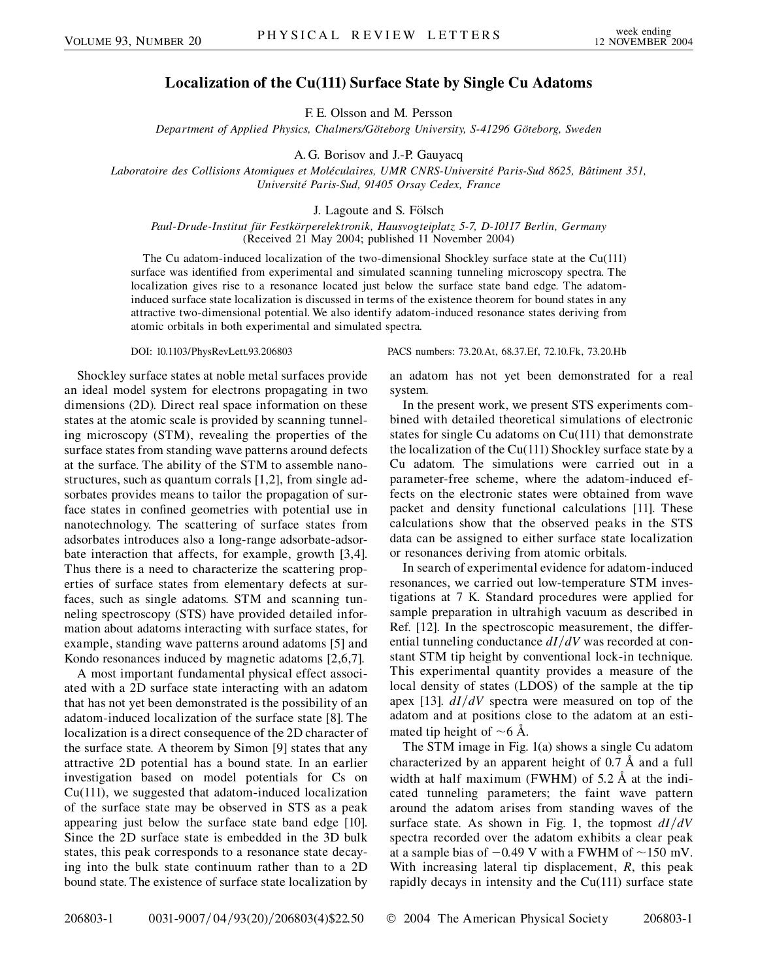## **Localization of the Cu(111) Surface State by Single Cu Adatoms**

F. E. Olsson and M. Persson

*Department of Applied Physics, Chalmers/Go¨teborg University, S-41296 Go¨teborg, Sweden*

A. G. Borisov and J.-P. Gauyacq

*Laboratoire des Collisions Atomiques et Mole´culaires, UMR CNRS-Universite´ Paris-Sud 8625, Baˆtiment 351, Universite´ Paris-Sud, 91405 Orsay Cedex, France*

J. Lagoute and S. Fölsch

*Paul-Drude-Institut fu¨r Festko¨rperelektronik, Hausvogteiplatz 5-7, D-10117 Berlin, Germany* (Received 21 May 2004; published 11 November 2004)

The Cu adatom-induced localization of the two-dimensional Shockley surface state at the Cu(111) surface was identified from experimental and simulated scanning tunneling microscopy spectra. The localization gives rise to a resonance located just below the surface state band edge. The adatominduced surface state localization is discussed in terms of the existence theorem for bound states in any attractive two-dimensional potential. We also identify adatom-induced resonance states deriving from atomic orbitals in both experimental and simulated spectra.

Shockley surface states at noble metal surfaces provide an ideal model system for electrons propagating in two dimensions (2D). Direct real space information on these states at the atomic scale is provided by scanning tunneling microscopy (STM), revealing the properties of the surface states from standing wave patterns around defects at the surface. The ability of the STM to assemble nanostructures, such as quantum corrals [1,2], from single adsorbates provides means to tailor the propagation of surface states in confined geometries with potential use in nanotechnology. The scattering of surface states from adsorbates introduces also a long-range adsorbate-adsorbate interaction that affects, for example, growth [3,4]. Thus there is a need to characterize the scattering properties of surface states from elementary defects at surfaces, such as single adatoms. STM and scanning tunneling spectroscopy (STS) have provided detailed information about adatoms interacting with surface states, for example, standing wave patterns around adatoms [5] and Kondo resonances induced by magnetic adatoms [2,6,7].

A most important fundamental physical effect associated with a 2D surface state interacting with an adatom that has not yet been demonstrated is the possibility of an adatom-induced localization of the surface state [8]. The localization is a direct consequence of the 2D character of the surface state. A theorem by Simon [9] states that any attractive 2D potential has a bound state. In an earlier investigation based on model potentials for Cs on Cu(111), we suggested that adatom-induced localization of the surface state may be observed in STS as a peak appearing just below the surface state band edge [10]. Since the 2D surface state is embedded in the 3D bulk states, this peak corresponds to a resonance state decaying into the bulk state continuum rather than to a 2D bound state. The existence of surface state localization by

DOI: 10.1103/PhysRevLett.93.206803 PACS numbers: 73.20.At, 68.37.Ef, 72.10.Fk, 73.20.Hb

an adatom has not yet been demonstrated for a real system.

In the present work, we present STS experiments combined with detailed theoretical simulations of electronic states for single Cu adatoms on Cu(111) that demonstrate the localization of the Cu(111) Shockley surface state by a Cu adatom. The simulations were carried out in a parameter-free scheme, where the adatom-induced effects on the electronic states were obtained from wave packet and density functional calculations [11]. These calculations show that the observed peaks in the STS data can be assigned to either surface state localization or resonances deriving from atomic orbitals.

In search of experimental evidence for adatom-induced resonances, we carried out low-temperature STM investigations at 7 K. Standard procedures were applied for sample preparation in ultrahigh vacuum as described in Ref. [12]. In the spectroscopic measurement, the differential tunneling conductance  $dI/dV$  was recorded at constant STM tip height by conventional lock-in technique. This experimental quantity provides a measure of the local density of states (LDOS) of the sample at the tip apex [13].  $dI/dV$  spectra were measured on top of the adatom and at positions close to the adatom at an estimated tip height of  $\sim$  6 Å.

The STM image in Fig. 1(a) shows a single Cu adatom characterized by an apparent height of 0.7 Å and a full width at half maximum (FWHM) of 5.2 Å at the indicated tunneling parameters; the faint wave pattern around the adatom arises from standing waves of the surface state. As shown in Fig. 1, the topmost  $dI/dV$ spectra recorded over the adatom exhibits a clear peak at a sample bias of  $-0.49$  V with a FWHM of  $\sim$ 150 mV. With increasing lateral tip displacement, *R*, this peak rapidly decays in intensity and the  $Cu(111)$  surface state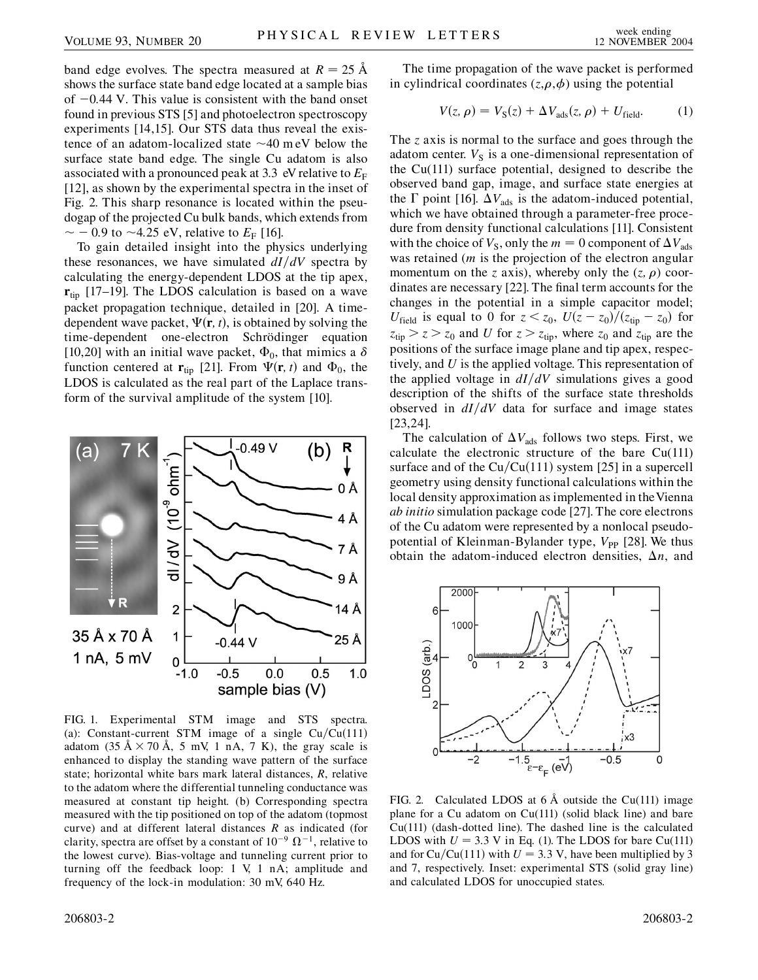band edge evolves. The spectra measured at  $R = 25 \text{ Å}$ shows the surface state band edge located at a sample bias of -0*:*44 V. This value is consistent with the band onset found in previous STS [5] and photoelectron spectroscopy experiments [14,15]. Our STS data thus reveal the existence of an adatom-localized state  $\sim$ 40 m eV below the surface state band edge. The single Cu adatom is also associated with a pronounced peak at 3.3 eV relative to  $E_F$ [12], as shown by the experimental spectra in the inset of Fig. 2. This sharp resonance is located within the pseudogap of the projected Cu bulk bands, which extends from  $\sim$  - 0.9 to ~4.25 eV, relative to  $E_F$  [16].

To gain detailed insight into the physics underlying these resonances, we have simulated  $dI/dV$  spectra by calculating the energy-dependent LDOS at the tip apex, **r**tip [17–19]. The LDOS calculation is based on a wave packet propagation technique, detailed in [20]. A timedependent wave packet,  $\Psi(\mathbf{r}, t)$ , is obtained by solving the time-dependent one-electron Schrödinger equation [10,20] with an initial wave packet,  $\Phi_0$ , that mimics a  $\delta$ function centered at  $\mathbf{r}_{tip}$  [21]. From  $\Psi(\mathbf{r}, t)$  and  $\Phi_0$ , the LDOS is calculated as the real part of the Laplace transform of the survival amplitude of the system [10].



FIG. 1. Experimental STM image and STS spectra. (a): Constant-current STM image of a single  $Cu/Cu(111)$ adatom (35  $\AA \times 70$   $\AA$ , 5 mV, 1 nA, 7 K), the gray scale is enhanced to display the standing wave pattern of the surface state; horizontal white bars mark lateral distances, *R*, relative to the adatom where the differential tunneling conductance was measured at constant tip height. (b) Corresponding spectra measured with the tip positioned on top of the adatom (topmost curve) and at different lateral distances *R* as indicated (for clarity, spectra are offset by a constant of  $10^{-9} \Omega^{-1}$ , relative to the lowest curve). Bias-voltage and tunneling current prior to turning off the feedback loop: 1 V, 1 nA; amplitude and frequency of the lock-in modulation: 30 mV, 640 Hz.

The time propagation of the wave packet is performed in cylindrical coordinates  $(z, \rho, \phi)$  using the potential

$$
V(z, \rho) = V_{\rm S}(z) + \Delta V_{\rm ads}(z, \rho) + U_{\rm field}.
$$
 (1)

The *z* axis is normal to the surface and goes through the adatom center.  $V<sub>S</sub>$  is a one-dimensional representation of the Cu(111) surface potential, designed to describe the observed band gap, image, and surface state energies at the  $\Gamma$  point [16].  $\Delta V_{\text{ads}}$  is the adatom-induced potential, which we have obtained through a parameter-free procedure from density functional calculations [11]. Consistent with the choice of  $V_s$ , only the  $m = 0$  component of  $\Delta V_{ads}$ was retained (*m* is the projection of the electron angular momentum on the *z* axis), whereby only the  $(z, \rho)$  coordinates are necessary [22]. The final term accounts for the changes in the potential in a simple capacitor model; *U*<sub>field</sub> is equal to 0 for  $z < z_0$ ,  $U(z - z_0)/(z_{\text{tip}} - z_0)$  for  $z_{\text{tip}} > z > z_0$  and *U* for  $z > z_{\text{tip}}$ , where  $z_0$  and  $z_{\text{tip}}$  are the positions of the surface image plane and tip apex, respectively, and *U* is the applied voltage. This representation of the applied voltage in  $dI/dV$  simulations gives a good description of the shifts of the surface state thresholds observed in  $dI/dV$  data for surface and image states [23,24].

The calculation of  $\Delta V_{\text{ads}}$  follows two steps. First, we calculate the electronic structure of the bare Cu(111) surface and of the  $Cu/Cu(111)$  system [25] in a supercell geometry using density functional calculations within the local density approximation as implemented in the Vienna *ab initio* simulation package code [27]. The core electrons of the Cu adatom were represented by a nonlocal pseudopotential of Kleinman-Bylander type,  $V_{\text{PP}}$  [28]. We thus obtain the adatom-induced electron densities,  $\Delta n$ , and



FIG. 2. Calculated LDOS at  $6 \text{ Å}$  outside the Cu(111) image plane for a Cu adatom on Cu(111) (solid black line) and bare Cu(111) (dash-dotted line). The dashed line is the calculated LDOS with  $U = 3.3$  V in Eq. (1). The LDOS for bare Cu(111) and for  $Cu/Cu(111)$  with  $U = 3.3$  V, have been multiplied by 3 and 7, respectively. Inset: experimental STS (solid gray line) and calculated LDOS for unoccupied states.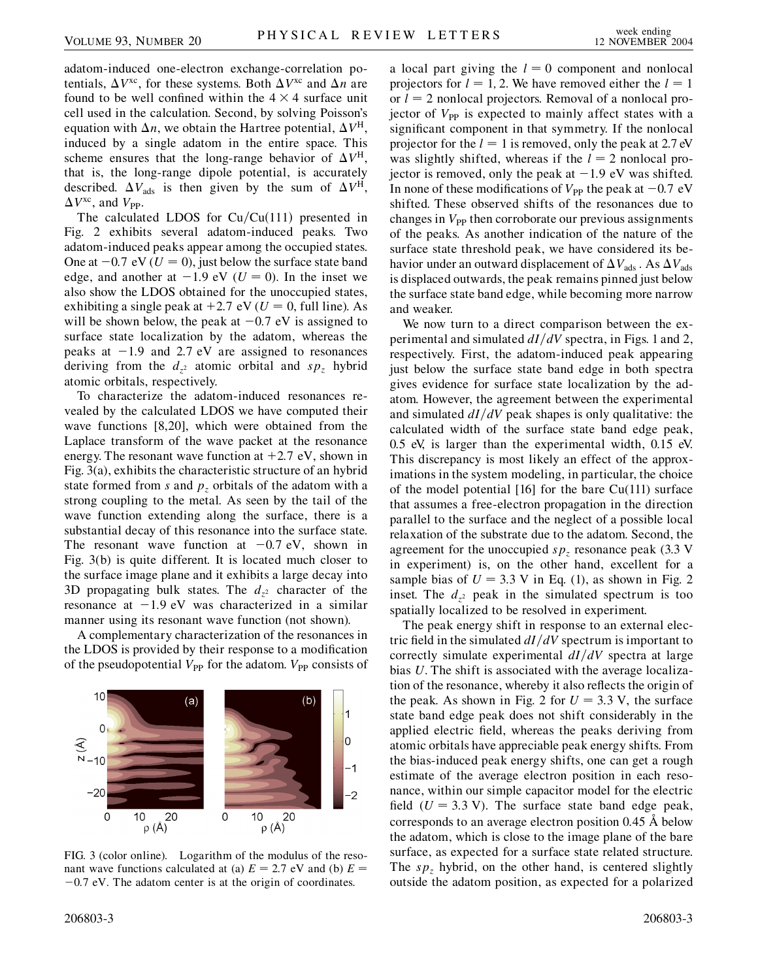adatom-induced one-electron exchange-correlation potentials,  $\Delta V^{\text{xc}}$ , for these systems. Both  $\Delta V^{\text{xc}}$  and  $\Delta n$  are found to be well confined within the  $4 \times 4$  surface unit cell used in the calculation. Second, by solving Poisson's equation with  $\Delta n$ , we obtain the Hartree potential,  $\Delta V^{\text{H}}$ , induced by a single adatom in the entire space. This scheme ensures that the long-range behavior of  $\Delta V^{\text{H}}$ , that is, the long-range dipole potential, is accurately described.  $\Delta V_{\text{ads}}$  is then given by the sum of  $\Delta V^{\text{H}}$ ,  $\Delta V^{\text{xc}}$ , and  $V_{\text{PP}}$ .

The calculated LDOS for Cu/Cu(111) presented in Fig. 2 exhibits several adatom-induced peaks. Two adatom-induced peaks appear among the occupied states. One at  $-0.7$  eV ( $U = 0$ ), just below the surface state band edge, and another at  $-1.9$  eV ( $U = 0$ ). In the inset we also show the LDOS obtained for the unoccupied states, exhibiting a single peak at  $+2.7$  eV ( $U = 0$ , full line). As will be shown below, the peak at  $-0.7$  eV is assigned to surface state localization by the adatom, whereas the peaks at -1*:*9 and 2*:*7 eV are assigned to resonances deriving from the  $d_{z^2}$  atomic orbital and  $sp_z$  hybrid atomic orbitals, respectively.

To characterize the adatom-induced resonances revealed by the calculated LDOS we have computed their wave functions [8,20], which were obtained from the Laplace transform of the wave packet at the resonance energy. The resonant wave function at  $+2.7$  eV, shown in Fig. 3(a), exhibits the characteristic structure of an hybrid state formed from *s* and  $p<sub>z</sub>$  orbitals of the adatom with a strong coupling to the metal. As seen by the tail of the wave function extending along the surface, there is a substantial decay of this resonance into the surface state. The resonant wave function at  $-0.7$  eV, shown in Fig. 3(b) is quite different. It is located much closer to the surface image plane and it exhibits a large decay into 3D propagating bulk states. The  $d_{z^2}$  character of the resonance at  $-1.9$  eV was characterized in a similar manner using its resonant wave function (not shown).

A complementary characterization of the resonances in the LDOS is provided by their response to a modification of the pseudopotential  $V_{\text{PP}}$  for the adatom.  $V_{\text{PP}}$  consists of



FIG. 3 (color online). Logarithm of the modulus of the resonant wave functions calculated at (a)  $E = 2.7$  eV and (b)  $E =$ -0*:*7 eV. The adatom center is at the origin of coordinates.

a local part giving the  $l = 0$  component and nonlocal projectors for  $l = 1, 2$ . We have removed either the  $l = 1$ or  $l = 2$  nonlocal projectors. Removal of a nonlocal projector of V<sub>PP</sub> is expected to mainly affect states with a significant component in that symmetry. If the nonlocal projector for the  $l = 1$  is removed, only the peak at 2.7 eV was slightly shifted, whereas if the  $l = 2$  nonlocal projector is removed, only the peak at  $-1.9$  eV was shifted. In none of these modifications of  $V_{\text{PP}}$  the peak at  $-0.7 \text{ eV}$ shifted. These observed shifts of the resonances due to changes in  $V_{\text{PP}}$  then corroborate our previous assignments of the peaks. As another indication of the nature of the surface state threshold peak, we have considered its behavior under an outward displacement of  $\Delta V_{\text{ads}}$ . As  $\Delta V_{\text{ads}}$ is displaced outwards, the peak remains pinned just below the surface state band edge, while becoming more narrow and weaker.

We now turn to a direct comparison between the experimental and simulated  $dI/dV$  spectra, in Figs. 1 and 2, respectively. First, the adatom-induced peak appearing just below the surface state band edge in both spectra gives evidence for surface state localization by the adatom. However, the agreement between the experimental and simulated  $dI/dV$  peak shapes is only qualitative: the calculated width of the surface state band edge peak, 0.5 eV, is larger than the experimental width, 0.15 eV. This discrepancy is most likely an effect of the approximations in the system modeling, in particular, the choice of the model potential  $[16]$  for the bare Cu(111) surface that assumes a free-electron propagation in the direction parallel to the surface and the neglect of a possible local relaxation of the substrate due to the adatom. Second, the agreement for the unoccupied  $sp<sub>z</sub>$  resonance peak (3.3 V) in experiment) is, on the other hand, excellent for a sample bias of  $U = 3.3$  V in Eq. (1), as shown in Fig. 2 inset. The  $d_{z^2}$  peak in the simulated spectrum is too spatially localized to be resolved in experiment.

The peak energy shift in response to an external electric field in the simulated  $dI/dV$  spectrum is important to correctly simulate experimental  $dI/dV$  spectra at large bias *U*. The shift is associated with the average localization of the resonance, whereby it also reflects the origin of the peak. As shown in Fig. 2 for  $U = 3.3$  V, the surface state band edge peak does not shift considerably in the applied electric field, whereas the peaks deriving from atomic orbitals have appreciable peak energy shifts. From the bias-induced peak energy shifts, one can get a rough estimate of the average electron position in each resonance, within our simple capacitor model for the electric field  $(U = 3.3 \text{ V})$ . The surface state band edge peak, corresponds to an average electron position 0.45 Å below the adatom, which is close to the image plane of the bare surface, as expected for a surface state related structure. The  $sp<sub>z</sub>$  hybrid, on the other hand, is centered slightly outside the adatom position, as expected for a polarized